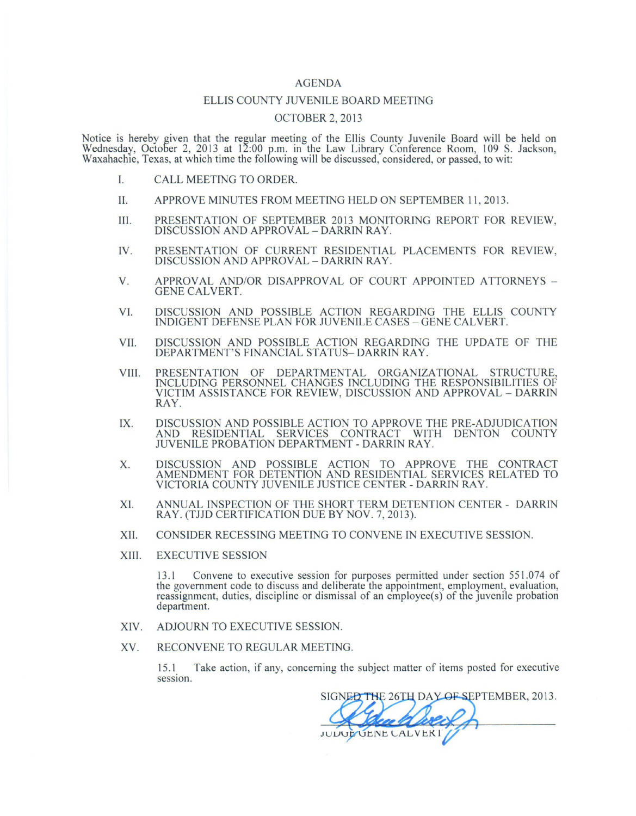## AGENDA

## ELLIS COUNTY JUVENILE BOARD MEETING

## OCTOBER 2, 2013

Notice is hereby given that the regular meeting of the Ellis County Juvenile Board will be held on Wednesday, October 2, 2013 at 12:00 p.m. in the Law Library Conference Room, 109 S. Jackson, Waxahachie, Texas, at which time the following will be discussed, considered, or passed, to wit:

- I. CALL MEETING TO ORDER.
- II. APPROVE MINUTES FROM MEETING HELD ON SEPTEMBER 11 , 2013 .
- III. PRESENTATION OF SEPTEMBER 2013 MONITORING REPORT FOR REVIEW, DISCUSSION AND APPROVAL- DARRIN RAY.
- IV. PRESENTATION OF CURRENT RESIDENTIAL PLACEMENTS FOR REVIEW, DISCUSSION AND APPROVAL- DARRIN RAY.
- V. APPROVAL AND/OR DISAPPROVAL OF COURT APPOINTED ATTORNEYS -GENE CALVERT.
- VI. DISCUSSION AND POSSIBLE ACTION REGARDING THE ELLIS COUNTY INDIGENT DEFENSE PLAN FOR JUVENILE CASES- GENE CALVERT.
- VII. DISCUSSION AND POSSIBLE ACTION REGARDING THE UPDATE OF THE DEPARTMENT'S FINANCIAL STATUS- DARRIN RAY.
- VIII. PRESENTATION OF DEPARTMENTAL ORGANIZATIONAL STRUCTURE, INCLUDING PERSONNEL CHANGES INCLUDING THE RESPONSIBILITIES OF VICTIM ASSISTANCE FOR REVIEW, DISCUSSION AND APPROVAL - DARRIN RAY.
- IX. DISCUSSION AND POSSIBLE ACTION TO APPROVE THE PRE-ADJUDICATION AND RESIDENTIAL SERVICES CONTRACT WITH DENTON COUNTY JUVENILE PROBATION DEPARTMENT- DARRIN RAY.
- X. DISCUSSION AND POSSIBLE ACTION TO APPROVE THE CONTRACT AMENDMENT FOR DETENTION AND RESIDENTIAL SERVICES RELATED TO VICTORIA COUNTY JUVENILE JUSTICE CENTER- DARRIN RAY.
- XI. ANNUAL INSPECTION OF THE SHORT TERM DETENTION CENTER DARRIN RAY. (TJJD CERTIFICATION DUE BY NOV. 7, 2013).
- XII. CONSIDER RECESSING MEETING TO CONVENE IN EXECUTIVE SESSION.
- XIII. EXECUTIVE SESSION

13 .1 Convene to executive session for purposes permitted under section 551.074 of the government code to discuss and deliberate the appointment, employment, evaluation, reassignment, duties, discipline or dismissal of an employee(s) of the juvenile probation department.

- XIV. ADJOURN TO EXECUTIVE SESSION.
- XV. RECONVENE TO REGULAR MEETING.

15.1\_ Take action, if any, concerning the subject matter of items posted for executive session.

SIGNED THE 26TH DAY OF SEPTEMBER, 2013. JUDUP UENE CALVERI